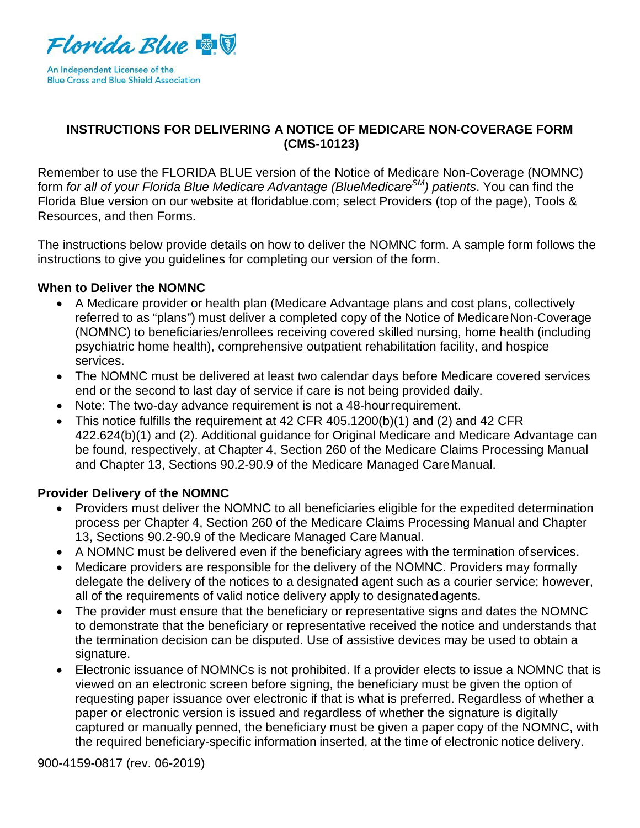

### **INSTRUCTIONS FOR DELIVERING A NOTICE OF MEDICARE NON-COVERAGE FORM (CMS-10123)**

Remember to use the FLORIDA BLUE version of the Notice of Medicare Non-Coverage (NOMNC) form *for all of your Florida Blue Medicare Advantage (BlueMedicareSM) patients*. You can find the Florida Blue version on our website at floridablue.com; select Providers (top of the page), Tools & Resources, and then Forms.

The instructions below provide details on how to deliver the NOMNC form. A sample form follows the instructions to give you guidelines for completing our version of the form.

### **When to Deliver the NOMNC**

- A Medicare provider or health plan (Medicare Advantage plans and cost plans, collectively referred to as "plans") must deliver a completed copy of the Notice of MedicareNon-Coverage (NOMNC) to beneficiaries/enrollees receiving covered skilled nursing, home health (including psychiatric home health), comprehensive outpatient rehabilitation facility, and hospice services.
- The NOMNC must be delivered at least two calendar days before Medicare covered services end or the second to last day of service if care is not being provided daily.
- Note: The two-day advance requirement is not a 48-hourrequirement.
- This notice fulfills the requirement at 42 CFR 405.1200(b)(1) and (2) and 42 CFR 422.624(b)(1) and (2). Additional guidance for Original Medicare and Medicare Advantage can be found, respectively, at Chapter 4, Section 260 of the Medicare Claims Processing Manual and Chapter 13, Sections 90.2-90.9 of the Medicare Managed CareManual.

# **Provider Delivery of the NOMNC**

- Providers must deliver the NOMNC to all beneficiaries eligible for the expedited determination process per Chapter 4, Section 260 of the Medicare Claims Processing Manual and Chapter 13, Sections 90.2-90.9 of the Medicare Managed Care Manual.
- A NOMNC must be delivered even if the beneficiary agrees with the termination of services.
- Medicare providers are responsible for the delivery of the NOMNC. Providers may formally delegate the delivery of the notices to a designated agent such as a courier service; however, all of the requirements of valid notice delivery apply to designatedagents.
- The provider must ensure that the beneficiary or representative signs and dates the NOMNC to demonstrate that the beneficiary or representative received the notice and understands that the termination decision can be disputed. Use of assistive devices may be used to obtain a signature.
- Electronic issuance of NOMNCs is not prohibited. If a provider elects to issue a NOMNC that is viewed on an electronic screen before signing, the beneficiary must be given the option of requesting paper issuance over electronic if that is what is preferred. Regardless of whether a paper or electronic version is issued and regardless of whether the signature is digitally captured or manually penned, the beneficiary must be given a paper copy of the NOMNC, with the required beneficiary-specific information inserted, at the time of electronic notice delivery.

900-4159-0817 (rev. 06-2019)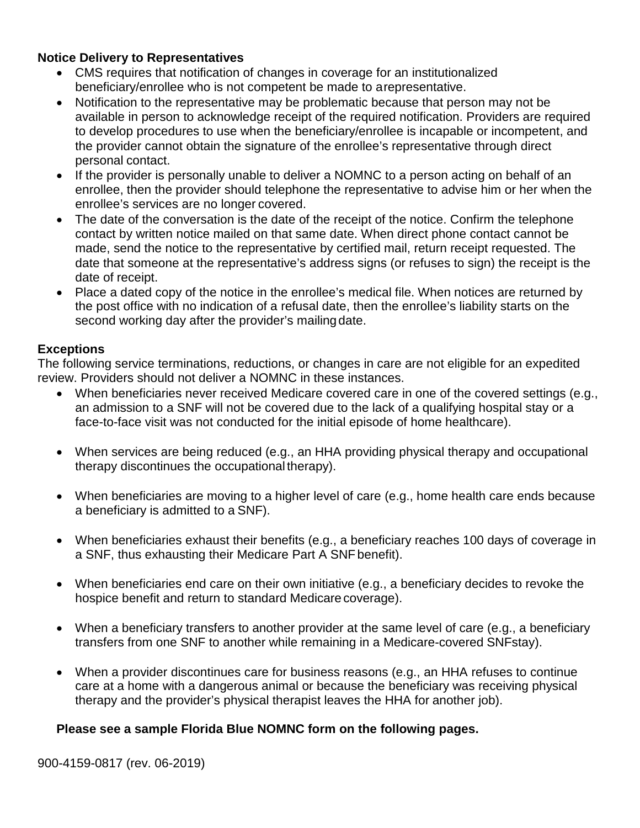## **Notice Delivery to Representatives**

- CMS requires that notification of changes in coverage for an institutionalized beneficiary/enrollee who is not competent be made to arepresentative.
- Notification to the representative may be problematic because that person may not be available in person to acknowledge receipt of the required notification. Providers are required to develop procedures to use when the beneficiary/enrollee is incapable or incompetent, and the provider cannot obtain the signature of the enrollee's representative through direct personal contact.
- If the provider is personally unable to deliver a NOMNC to a person acting on behalf of an enrollee, then the provider should telephone the representative to advise him or her when the enrollee's services are no longer covered.
- The date of the conversation is the date of the receipt of the notice. Confirm the telephone contact by written notice mailed on that same date. When direct phone contact cannot be made, send the notice to the representative by certified mail, return receipt requested. The date that someone at the representative's address signs (or refuses to sign) the receipt is the date of receipt.
- Place a dated copy of the notice in the enrollee's medical file. When notices are returned by the post office with no indication of a refusal date, then the enrollee's liability starts on the second working day after the provider's mailing date.

## **Exceptions**

The following service terminations, reductions, or changes in care are not eligible for an expedited review. Providers should not deliver a NOMNC in these instances.

- When beneficiaries never received Medicare covered care in one of the covered settings (e.g., an admission to a SNF will not be covered due to the lack of a qualifying hospital stay or a face-to-face visit was not conducted for the initial episode of home healthcare).
- When services are being reduced (e.g., an HHA providing physical therapy and occupational therapy discontinues the occupational therapy).
- When beneficiaries are moving to a higher level of care (e.g., home health care ends because a beneficiary is admitted to a SNF).
- When beneficiaries exhaust their benefits (e.g., a beneficiary reaches 100 days of coverage in a SNF, thus exhausting their Medicare Part A SNFbenefit).
- When beneficiaries end care on their own initiative (e.g., a beneficiary decides to revoke the hospice benefit and return to standard Medicare coverage).
- When a beneficiary transfers to another provider at the same level of care (e.g., a beneficiary transfers from one SNF to another while remaining in a Medicare-covered SNFstay).
- When a provider discontinues care for business reasons (e.g., an HHA refuses to continue care at a home with a dangerous animal or because the beneficiary was receiving physical therapy and the provider's physical therapist leaves the HHA for another job).

# **Please see a sample Florida Blue NOMNC form on the following pages.**

900-4159-0817 (rev. 06-2019)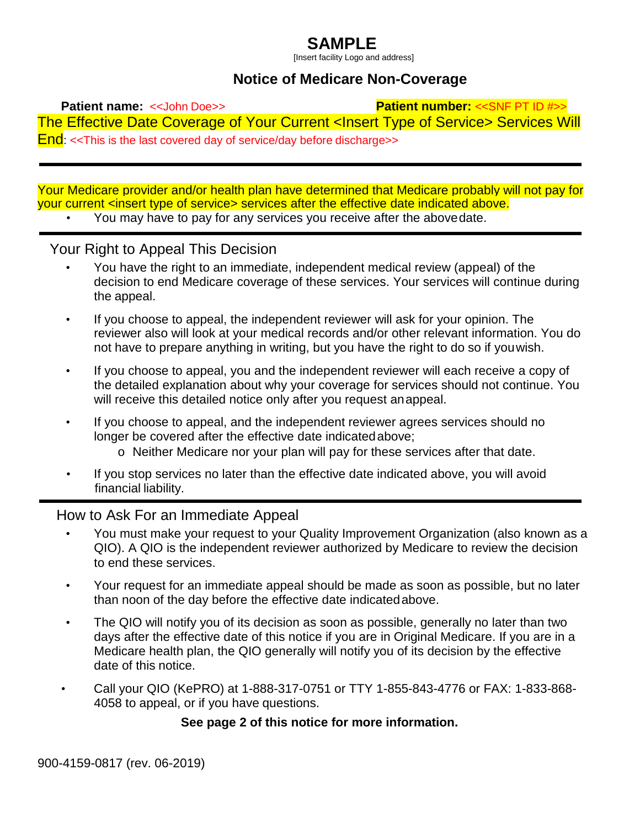# **SAMPLE**

[Insert facility Logo and address]

# **Notice of Medicare Non-Coverage**

**Patient name:**  $\le$  John Doe>> **Patient number:**  $\le$  SNF PT ID #>> The Effective Date Coverage of Your Current <Insert Type of Service> Services Will End: <<This is the last covered day of service/day before discharge>>

Your Medicare provider and/or health plan have determined that Medicare probably will not pay for your current <insert type of service> services after the effective date indicated above.

• You may have to pay for any services you receive after the abovedate.

Your Right to Appeal This Decision

- You have the right to an immediate, independent medical review (appeal) of the decision to end Medicare coverage of these services. Your services will continue during the appeal.
- If you choose to appeal, the independent reviewer will ask for your opinion. The reviewer also will look at your medical records and/or other relevant information. You do not have to prepare anything in writing, but you have the right to do so if youwish.
- If you choose to appeal, you and the independent reviewer will each receive a copy of the detailed explanation about why your coverage for services should not continue. You will receive this detailed notice only after you request anappeal.
- If you choose to appeal, and the independent reviewer agrees services should no longer be covered after the effective date indicatedabove;
	- o Neither Medicare nor your plan will pay for these services after that date.
- If you stop services no later than the effective date indicated above, you will avoid financial liability.

# How to Ask For an Immediate Appeal

- You must make your request to your Quality Improvement Organization (also known as a QIO). A QIO is the independent reviewer authorized by Medicare to review the decision to end these services.
- Your request for an immediate appeal should be made as soon as possible, but no later than noon of the day before the effective date indicatedabove.
- The QIO will notify you of its decision as soon as possible, generally no later than two days after the effective date of this notice if you are in Original Medicare. If you are in a Medicare health plan, the QIO generally will notify you of its decision by the effective date of this notice.
- Call your QIO (KePRO) at 1-888-317-0751 or TTY 1-855-843-4776 or FAX: 1-833-868- 4058 to appeal, or if you have questions.

# **See page 2 of this notice for more information.**